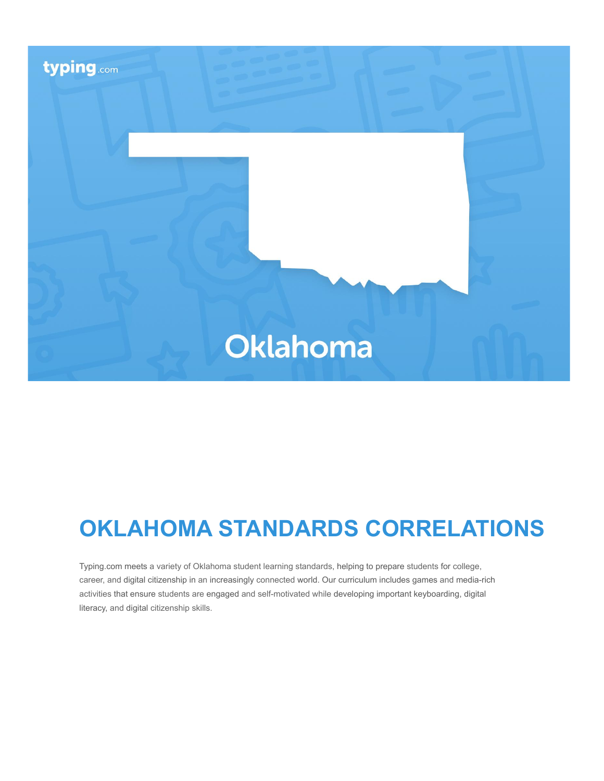

# **OKLAHOMA STANDARDS CORRELATIONS**

Typing.com meets a variety of Oklahoma student learning standards, helping to prepare students for college, career, and digital citizenship in an increasingly connected world. Our curriculum includes games and media-rich activities that ensure students are engaged and self-motivated while developing important keyboarding, digital literacy, and digital citizenship skills.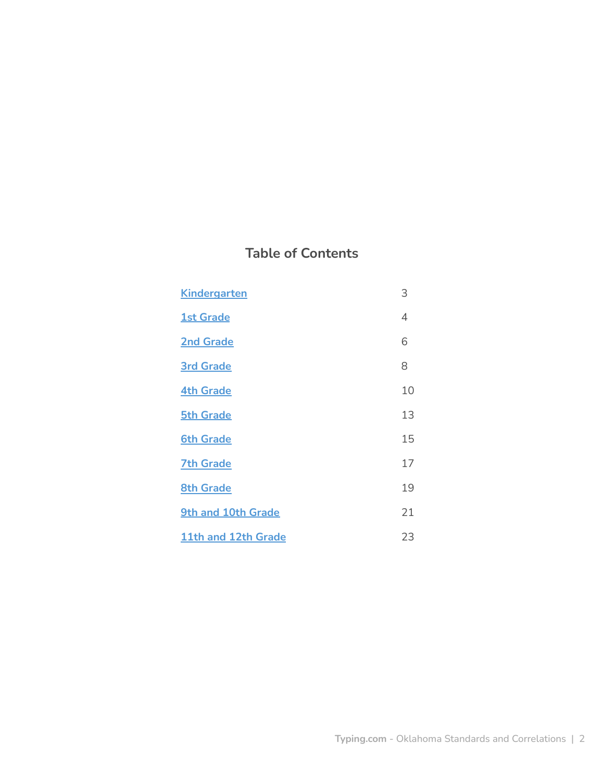# **Table of Contents**

| <b>Kindergarten</b> | 3  |
|---------------------|----|
| <b>1st Grade</b>    | 4  |
| <b>2nd Grade</b>    | 6  |
| <b>3rd Grade</b>    | 8  |
| <b>4th Grade</b>    | 10 |
| <b>5th Grade</b>    | 13 |
| <b>6th Grade</b>    | 15 |
| <b>7th Grade</b>    | 17 |
| <b>8th Grade</b>    | 19 |
| 9th and 10th Grade  | 21 |
| 11th and 12th Grade | 23 |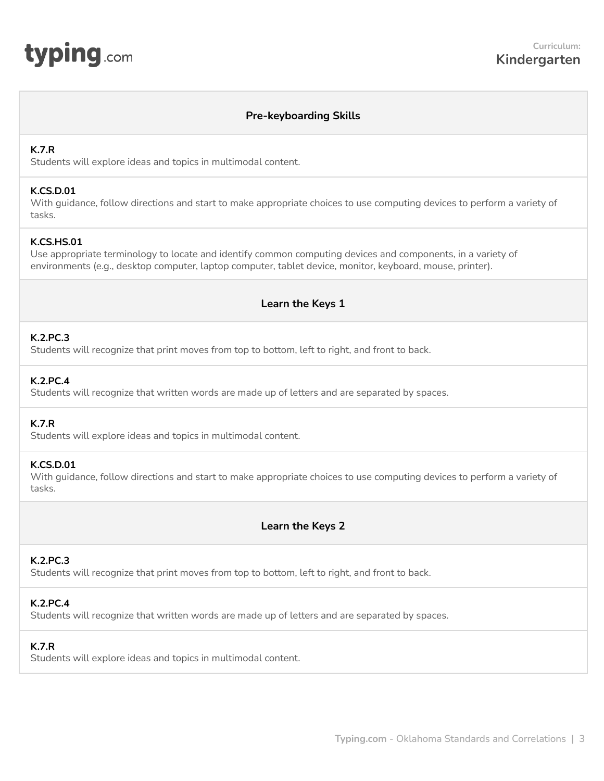# **Pre-keyboarding Skills**

### <span id="page-2-0"></span>**K.7.R**

Students will explore ideas and topics in multimodal content.

### **K.CS.D.01**

With guidance, follow directions and start to make appropriate choices to use computing devices to perform a variety of tasks.

### **K.CS.HS.01**

Use appropriate terminology to locate and identify common computing devices and components, in a variety of environments (e.g., desktop computer, laptop computer, tablet device, monitor, keyboard, mouse, printer).

# **Learn the Keys 1**

### **K.2.PC.3**

Students will recognize that print moves from top to bottom, left to right, and front to back.

### **K.2.PC.4**

Students will recognize that written words are made up of letters and are separated by spaces.

# **K.7.R**

Students will explore ideas and topics in multimodal content.

### **K.CS.D.01**

With guidance, follow directions and start to make appropriate choices to use computing devices to perform a variety of tasks.

**Learn the Keys 2**

### **K.2.PC.3**

Students will recognize that print moves from top to bottom, left to right, and front to back.

### **K.2.PC.4**

Students will recognize that written words are made up of letters and are separated by spaces.

### **K.7.R**

Students will explore ideas and topics in multimodal content.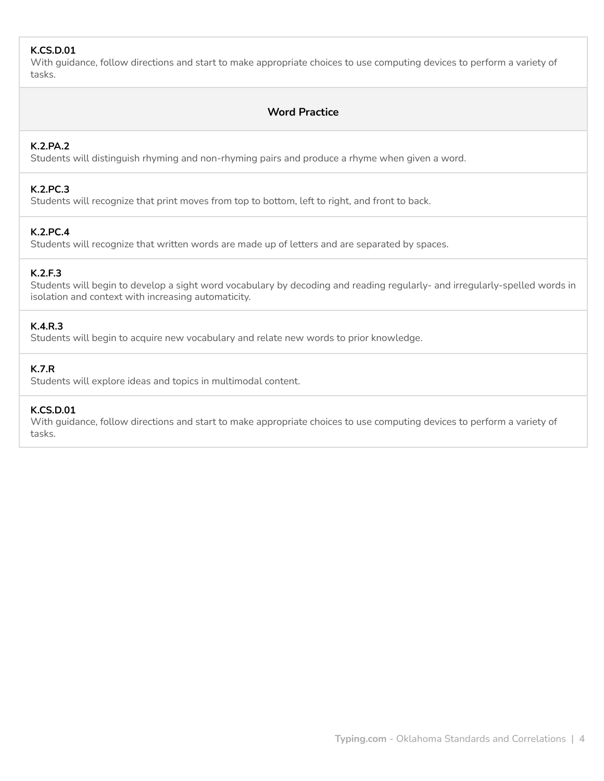# **K.CS.D.01**

With guidance, follow directions and start to make appropriate choices to use computing devices to perform a variety of tasks.

# **Word Practice**

# **K.2.PA.2**

Students will distinguish rhyming and non-rhyming pairs and produce a rhyme when given a word.

### **K.2.PC.3**

Students will recognize that print moves from top to bottom, left to right, and front to back.

### **K.2.PC.4**

Students will recognize that written words are made up of letters and are separated by spaces.

### **K.2.F.3**

Students will begin to develop a sight word vocabulary by decoding and reading regularly- and irregularly-spelled words in isolation and context with increasing automaticity.

# **K.4.R.3**

Students will begin to acquire new vocabulary and relate new words to prior knowledge.

# **K.7.R**

Students will explore ideas and topics in multimodal content.

### **K.CS.D.01**

With guidance, follow directions and start to make appropriate choices to use computing devices to perform a variety of tasks.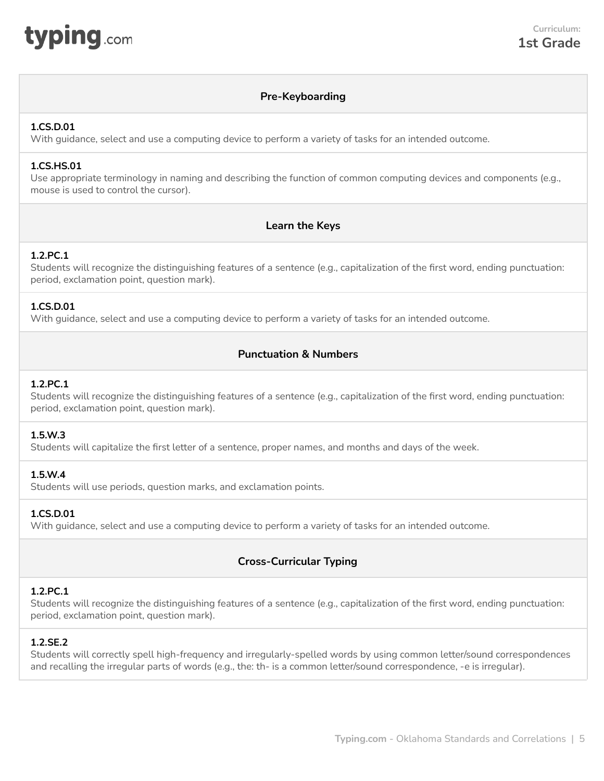<span id="page-4-0"></span>

# **Pre-Keyboarding**

#### **1.CS.D.01**

With guidance, select and use a computing device to perform a variety of tasks for an intended outcome.

### **1.CS.HS.01**

Use appropriate terminology in naming and describing the function of common computing devices and components (e.g., mouse is used to control the cursor).

# **Learn the Keys**

### **1.2.PC.1**

Students will recognize the distinguishing features of a sentence (e.g., capitalization of the first word, ending punctuation: period, exclamation point, question mark).

#### **1.CS.D.01**

With guidance, select and use a computing device to perform a variety of tasks for an intended outcome.

### **Punctuation & Numbers**

#### **1.2.PC.1**

Students will recognize the distinguishing features of a sentence (e.g., capitalization of the first word, ending punctuation: period, exclamation point, question mark).

#### **1.5.W.3**

Students will capitalize the first letter of a sentence, proper names, and months and days of the week.

#### **1.5.W.4**

Students will use periods, question marks, and exclamation points.

### **1.CS.D.01**

With guidance, select and use a computing device to perform a variety of tasks for an intended outcome.

# **Cross-Curricular Typing**

### **1.2.PC.1**

Students will recognize the distinguishing features of a sentence (e.g., capitalization of the first word, ending punctuation: period, exclamation point, question mark).

### **1.2.SE.2**

Students will correctly spell high-frequency and irregularly-spelled words by using common letter/sound correspondences and recalling the irregular parts of words (e.g., the: th- is a common letter/sound correspondence, -e is irregular).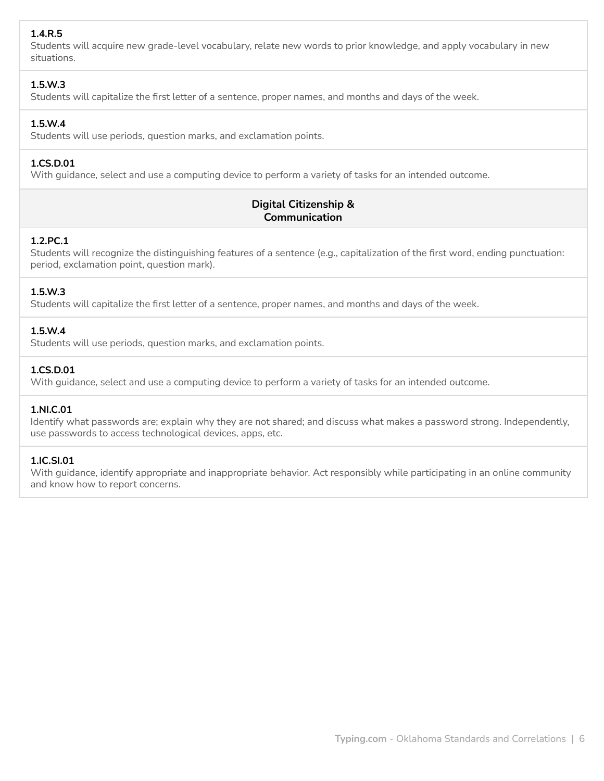# **1.4.R.5**

Students will acquire new grade-level vocabulary, relate new words to prior knowledge, and apply vocabulary in new situations.

### **1.5.W.3**

Students will capitalize the first letter of a sentence, proper names, and months and days of the week.

### **1.5.W.4**

Students will use periods, question marks, and exclamation points.

# **1.CS.D.01**

With guidance, select and use a computing device to perform a variety of tasks for an intended outcome.

# **Digital Citizenship & Communication**

### **1.2.PC.1**

Students will recognize the distinguishing features of a sentence (e.g., capitalization of the first word, ending punctuation: period, exclamation point, question mark).

### **1.5.W.3**

Students will capitalize the first letter of a sentence, proper names, and months and days of the week.

### **1.5.W.4**

Students will use periods, question marks, and exclamation points.

### **1.CS.D.01**

With guidance, select and use a computing device to perform a variety of tasks for an intended outcome.

### **1.NI.C.01**

Identify what passwords are; explain why they are not shared; and discuss what makes a password strong. Independently, use passwords to access technological devices, apps, etc.

### **1.IC.SI.01**

With guidance, identify appropriate and inappropriate behavior. Act responsibly while participating in an online community and know how to report concerns.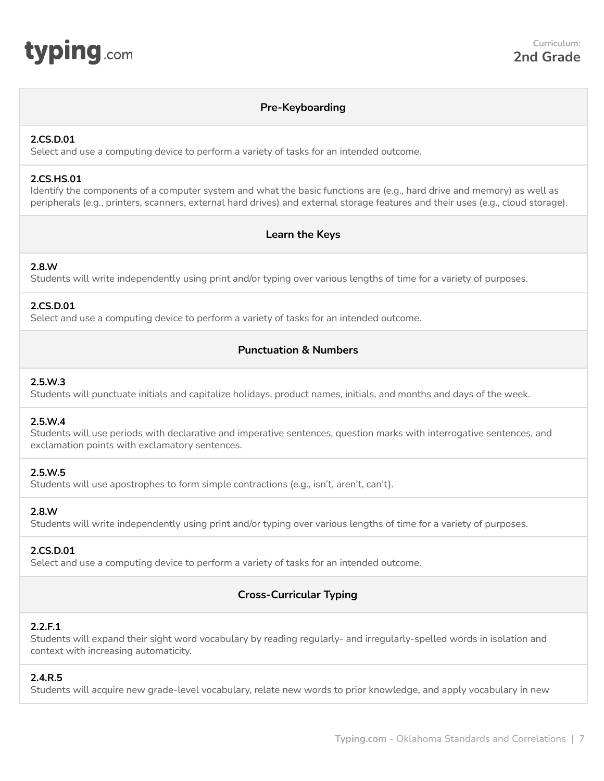<span id="page-6-0"></span>

### **Pre-Keyboarding**

#### **2.CS.D.01**

Select and use a computing device to perform a variety of tasks for an intended outcome.

### **2.CS.HS.01**

Identify the components of a computer system and what the basic functions are (e.g., hard drive and memory) as well as peripherals (e.g., printers, scanners, external hard drives) and external storage features and their uses (e.g., cloud storage).

### **Learn the Keys**

# **2.8.W**

Students will write independently using print and/or typing over various lengths of time for a variety of purposes.

### **2.CS.D.01**

Select and use a computing device to perform a variety of tasks for an intended outcome.

# **Punctuation & Numbers**

### **2.5.W.3**

Students will punctuate initials and capitalize holidays, product names, initials, and months and days of the week.

### **2.5.W.4**

Students will use periods with declarative and imperative sentences, question marks with interrogative sentences, and exclamation points with exclamatory sentences.

### **2.5.W.5**

Students will use apostrophes to form simple contractions (e.g., isn't, aren't, can't).

### **2.8.W**

Students will write independently using print and/or typing over various lengths of time for a variety of purposes.

### **2.CS.D.01**

Select and use a computing device to perform a variety of tasks for an intended outcome.

# **Cross-Curricular Typing**

### **2.2.F.1**

Students will expand their sight word vocabulary by reading regularly- and irregularly-spelled words in isolation and context with increasing automaticity.

# **2.4.R.5**

Students will acquire new grade-level vocabulary, relate new words to prior knowledge, and apply vocabulary in new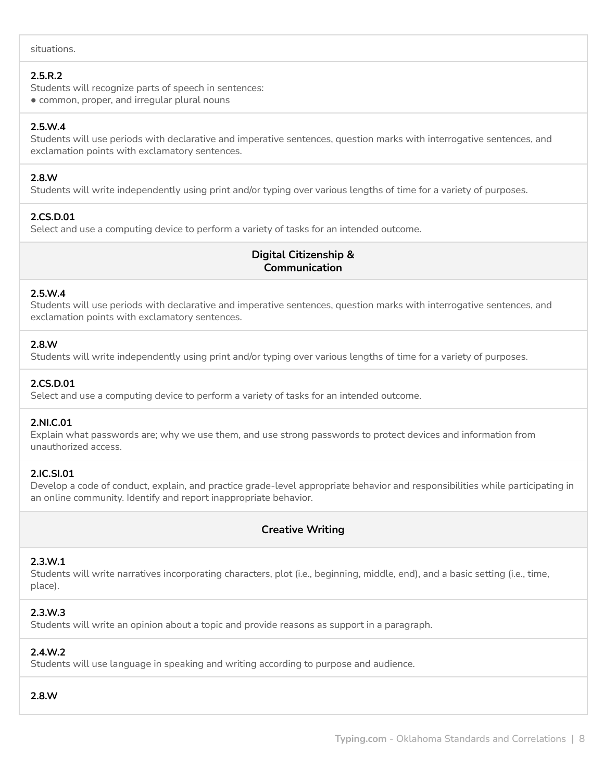### **2.5.R.2**

Students will recognize parts of speech in sentences:

● common, proper, and irregular plural nouns

### **2.5.W.4**

Students will use periods with declarative and imperative sentences, question marks with interrogative sentences, and exclamation points with exclamatory sentences.

### **2.8.W**

Students will write independently using print and/or typing over various lengths of time for a variety of purposes.

# **2.CS.D.01**

Select and use a computing device to perform a variety of tasks for an intended outcome.

# **Digital Citizenship & Communication**

### **2.5.W.4**

Students will use periods with declarative and imperative sentences, question marks with interrogative sentences, and exclamation points with exclamatory sentences.

### **2.8.W**

Students will write independently using print and/or typing over various lengths of time for a variety of purposes.

### **2.CS.D.01**

Select and use a computing device to perform a variety of tasks for an intended outcome.

### **2.NI.C.01**

Explain what passwords are; why we use them, and use strong passwords to protect devices and information from unauthorized access.

### **2.IC.SI.01**

Develop a code of conduct, explain, and practice grade-level appropriate behavior and responsibilities while participating in an online community. Identify and report inappropriate behavior.

# **Creative Writing**

### **2.3.W.1**

Students will write narratives incorporating characters, plot (i.e., beginning, middle, end), and a basic setting (i.e., time, place).

### **2.3.W.3**

Students will write an opinion about a topic and provide reasons as support in a paragraph.

# **2.4.W.2**

Students will use language in speaking and writing according to purpose and audience.

### **2.8.W**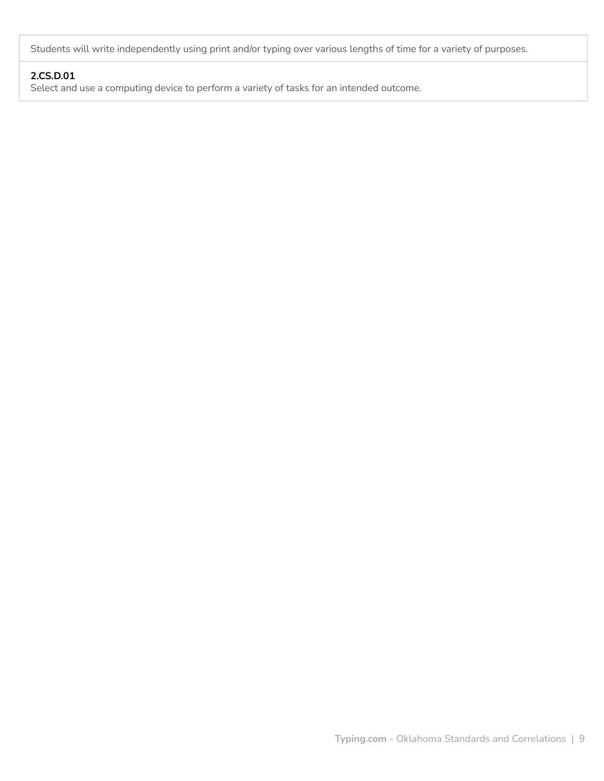Students will write independently using print and/or typing over various lengths of time for a variety of purposes.

# **2.CS.D.01**

Select and use a computing device to perform a variety of tasks for an intended outcome.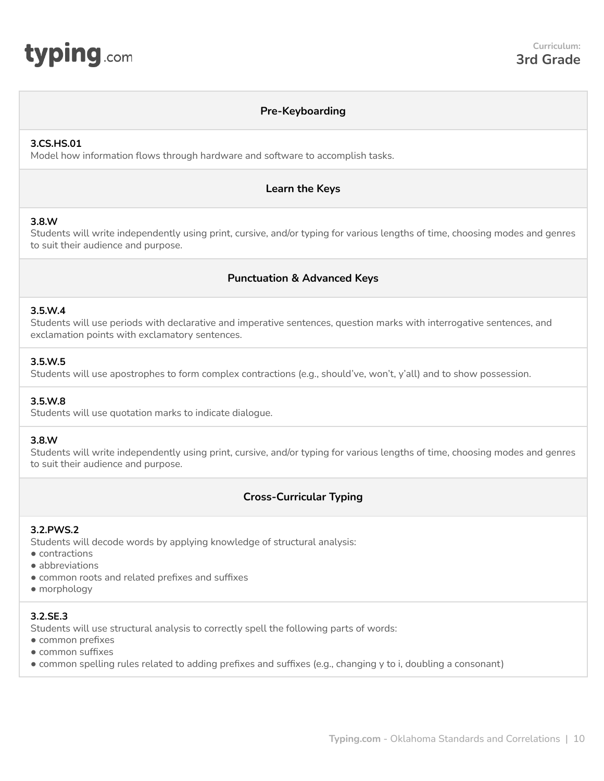<span id="page-9-0"></span>

### **Pre-Keyboarding**

#### **3.CS.HS.01**

Model how information flows through hardware and software to accomplish tasks.

#### **Learn the Keys**

#### **3.8.W**

Students will write independently using print, cursive, and/or typing for various lengths of time, choosing modes and genres to suit their audience and purpose.

### **Punctuation & Advanced Keys**

#### **3.5.W.4**

Students will use periods with declarative and imperative sentences, question marks with interrogative sentences, and exclamation points with exclamatory sentences.

### **3.5.W.5**

Students will use apostrophes to form complex contractions (e.g., should've, won't, y'all) and to show possession.

#### **3.5.W.8**

Students will use quotation marks to indicate dialogue.

### **3.8.W**

Students will write independently using print, cursive, and/or typing for various lengths of time, choosing modes and genres to suit their audience and purpose.

# **Cross-Curricular Typing**

#### **3.2.PWS.2**

Students will decode words by applying knowledge of structural analysis:

- contractions
- abbreviations
- common roots and related prefixes and suffixes
- morphology

### **3.2.SE.3**

Students will use structural analysis to correctly spell the following parts of words:

- common prefixes
- common suffixes
- common spelling rules related to adding prefixes and suffixes (e.g., changing y to i, doubling a consonant)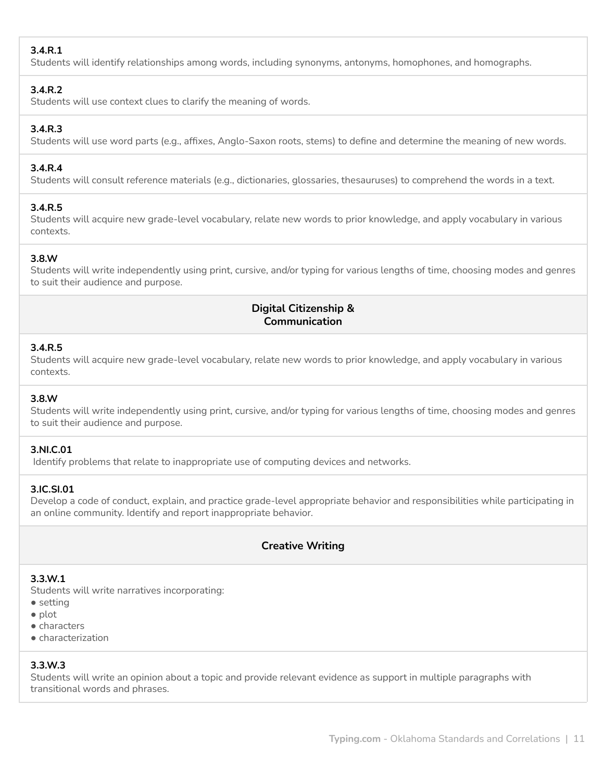# **3.4.R.1**

Students will identify relationships among words, including synonyms, antonyms, homophones, and homographs.

### **3.4.R.2**

Students will use context clues to clarify the meaning of words.

# **3.4.R.3**

Students will use word parts (e.g., affixes, Anglo-Saxon roots, stems) to define and determine the meaning of new words.

### **3.4.R.4**

Students will consult reference materials (e.g., dictionaries, glossaries, thesauruses) to comprehend the words in a text.

### **3.4.R.5**

Students will acquire new grade-level vocabulary, relate new words to prior knowledge, and apply vocabulary in various contexts.

# **3.8.W**

Students will write independently using print, cursive, and/or typing for various lengths of time, choosing modes and genres to suit their audience and purpose.

# **Digital Citizenship & Communication**

### **3.4.R.5**

Students will acquire new grade-level vocabulary, relate new words to prior knowledge, and apply vocabulary in various contexts.

# **3.8.W**

Students will write independently using print, cursive, and/or typing for various lengths of time, choosing modes and genres to suit their audience and purpose.

# **3.NI.C.01**

Identify problems that relate to inappropriate use of computing devices and networks.

# **3.IC.SI.01**

Develop a code of conduct, explain, and practice grade-level appropriate behavior and responsibilities while participating in an online community. Identify and report inappropriate behavior.

# **Creative Writing**

### **3.3.W.1**

Students will write narratives incorporating:

- setting
- plot
- characters
- characterization

# **3.3.W.3**

Students will write an opinion about a topic and provide relevant evidence as support in multiple paragraphs with transitional words and phrases.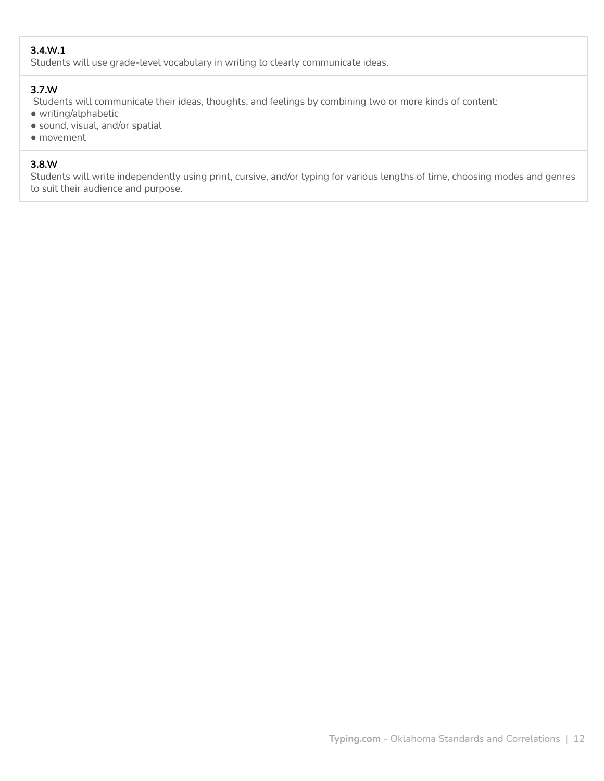# **3.4.W.1**

Students will use grade-level vocabulary in writing to clearly communicate ideas.

### **3.7.W**

Students will communicate their ideas, thoughts, and feelings by combining two or more kinds of content:

- writing/alphabetic
- sound, visual, and/or spatial
- movement

# **3.8.W**

Students will write independently using print, cursive, and/or typing for various lengths of time, choosing modes and genres to suit their audience and purpose.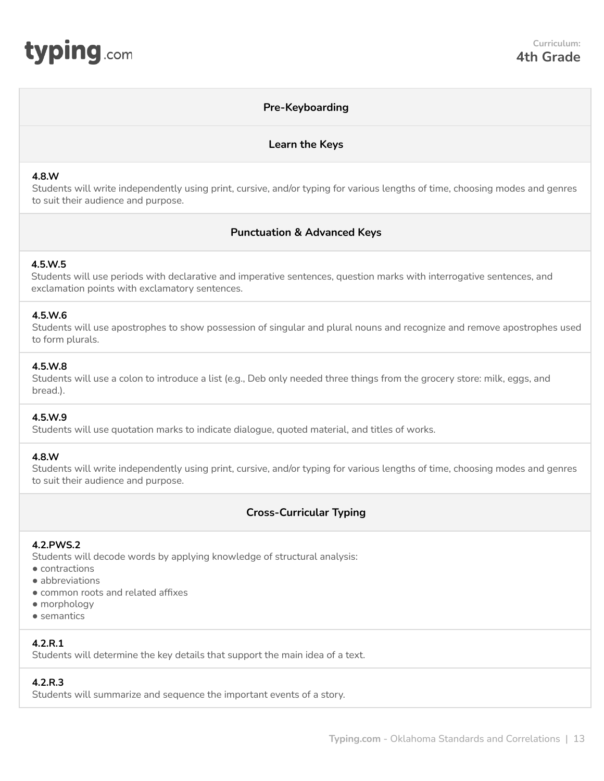<span id="page-12-0"></span>

### **Pre-Keyboarding**

### **Learn the Keys**

#### **4.8.W**

Students will write independently using print, cursive, and/or typing for various lengths of time, choosing modes and genres to suit their audience and purpose.

### **Punctuation & Advanced Keys**

### **4.5.W.5**

Students will use periods with declarative and imperative sentences, question marks with interrogative sentences, and exclamation points with exclamatory sentences.

#### **4.5.W.6**

Students will use apostrophes to show possession of singular and plural nouns and recognize and remove apostrophes used to form plurals.

#### **4.5.W.8**

Students will use a colon to introduce a list (e.g., Deb only needed three things from the grocery store: milk, eggs, and bread.).

#### **4.5.W.9**

Students will use quotation marks to indicate dialogue, quoted material, and titles of works.

#### **4.8.W**

Students will write independently using print, cursive, and/or typing for various lengths of time, choosing modes and genres to suit their audience and purpose.

# **Cross-Curricular Typing**

#### **4.2.PWS.2**

Students will decode words by applying knowledge of structural analysis:

- contractions
- abbreviations
- common roots and related affixes
- morphology
- semantics

# **4.2.R.1**

Students will determine the key details that support the main idea of a text.

# **4.2.R.3**

Students will summarize and sequence the important events of a story.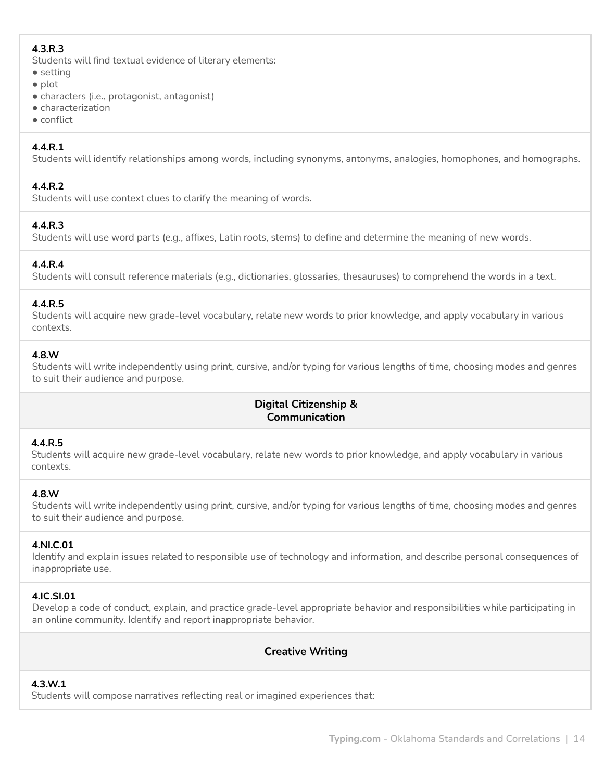# **4.3.R.3**

Students will find textual evidence of literary elements:

- setting
- plot
- characters (i.e., protagonist, antagonist)
- characterization
- conflict

# **4.4.R.1**

Students will identify relationships among words, including synonyms, antonyms, analogies, homophones, and homographs.

### **4.4.R.2**

Students will use context clues to clarify the meaning of words.

# **4.4.R.3**

Students will use word parts (e.g., affixes, Latin roots, stems) to define and determine the meaning of new words.

### **4.4.R.4**

Students will consult reference materials (e.g., dictionaries, glossaries, thesauruses) to comprehend the words in a text.

### **4.4.R.5**

Students will acquire new grade-level vocabulary, relate new words to prior knowledge, and apply vocabulary in various contexts.

### **4.8.W**

Students will write independently using print, cursive, and/or typing for various lengths of time, choosing modes and genres to suit their audience and purpose.

# **Digital Citizenship & Communication**

### **4.4.R.5**

Students will acquire new grade-level vocabulary, relate new words to prior knowledge, and apply vocabulary in various contexts.

# **4.8.W**

Students will write independently using print, cursive, and/or typing for various lengths of time, choosing modes and genres to suit their audience and purpose.

# **4.NI.C.01**

Identify and explain issues related to responsible use of technology and information, and describe personal consequences of inappropriate use.

# **4.IC.SI.01**

Develop a code of conduct, explain, and practice grade-level appropriate behavior and responsibilities while participating in an online community. Identify and report inappropriate behavior.

# **Creative Writing**

# **4.3.W.1**

Students will compose narratives reflecting real or imagined experiences that: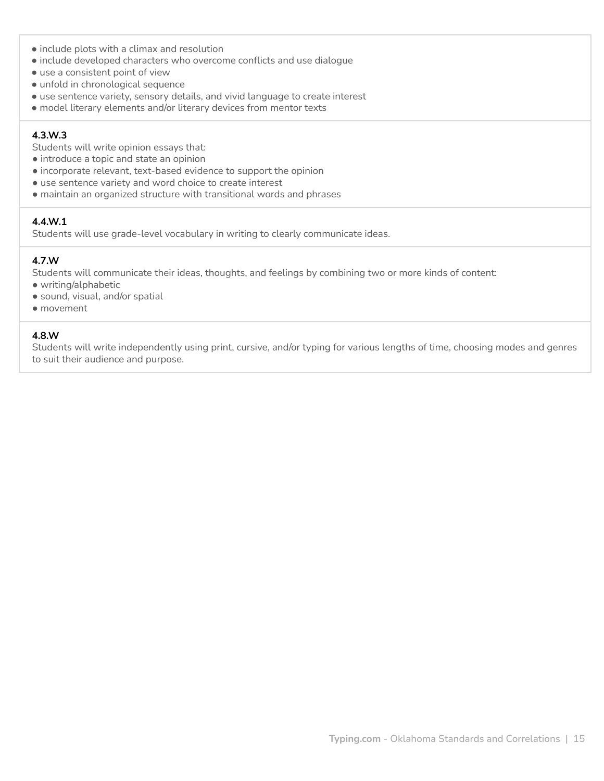- include plots with a climax and resolution
- include developed characters who overcome conflicts and use dialogue
- use a consistent point of view
- unfold in chronological sequence
- use sentence variety, sensory details, and vivid language to create interest
- model literary elements and/or literary devices from mentor texts

### **4.3.W.3**

Students will write opinion essays that:

- introduce a topic and state an opinion
- incorporate relevant, text-based evidence to support the opinion
- use sentence variety and word choice to create interest
- maintain an organized structure with transitional words and phrases

#### **4.4.W.1**

Students will use grade-level vocabulary in writing to clearly communicate ideas.

### **4.7.W**

Students will communicate their ideas, thoughts, and feelings by combining two or more kinds of content:

- writing/alphabetic
- sound, visual, and/or spatial
- movement

#### **4.8.W**

Students will write independently using print, cursive, and/or typing for various lengths of time, choosing modes and genres to suit their audience and purpose.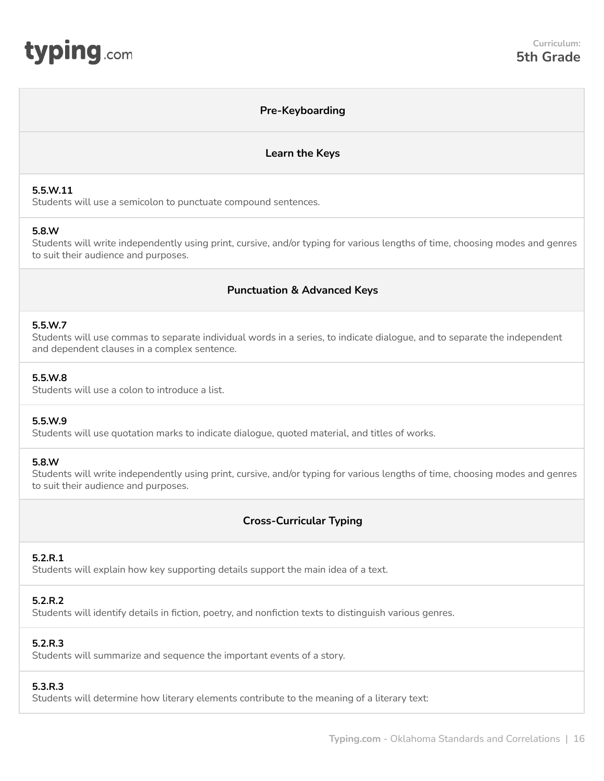<span id="page-15-0"></span>

### **Pre-Keyboarding**

#### **Learn the Keys**

#### **5.5.W.11**

Students will use a semicolon to punctuate compound sentences.

#### **5.8.W**

Students will write independently using print, cursive, and/or typing for various lengths of time, choosing modes and genres to suit their audience and purposes.

# **Punctuation & Advanced Keys**

#### **5.5.W.7**

Students will use commas to separate individual words in a series, to indicate dialogue, and to separate the independent and dependent clauses in a complex sentence.

#### **5.5.W.8**

Students will use a colon to introduce a list.

### **5.5.W.9**

Students will use quotation marks to indicate dialogue, quoted material, and titles of works.

#### **5.8.W**

Students will write independently using print, cursive, and/or typing for various lengths of time, choosing modes and genres to suit their audience and purposes.

# **Cross-Curricular Typing**

### **5.2.R.1**

Students will explain how key supporting details support the main idea of a text.

### **5.2.R.2**

Students will identify details in fiction, poetry, and nonfiction texts to distinguish various genres.

### **5.2.R.3**

Students will summarize and sequence the important events of a story.

#### **5.3.R.3**

Students will determine how literary elements contribute to the meaning of a literary text: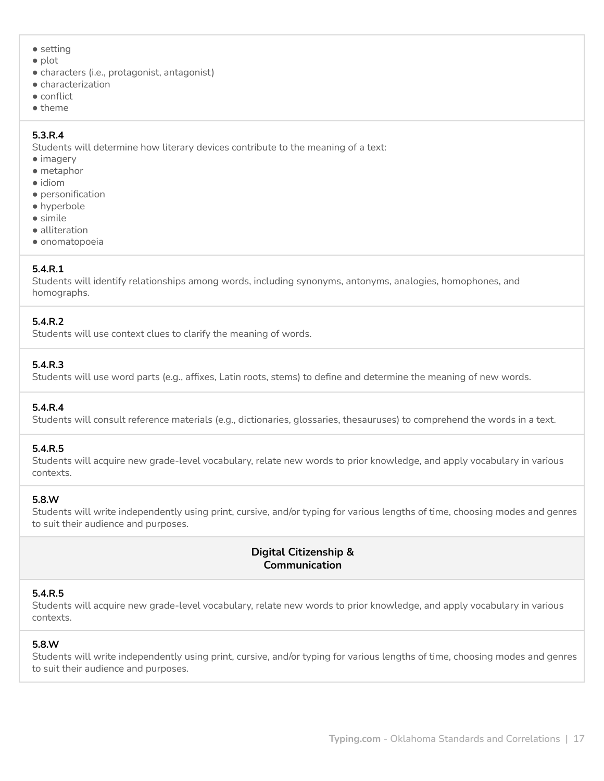- setting
- plot
- characters (i.e., protagonist, antagonist)
- characterization
- conflict
- theme

# **5.3.R.4**

Students will determine how literary devices contribute to the meaning of a text:

- imagery
- metaphor
- idiom
- personification
- hyperbole
- simile ● alliteration
- onomatopoeia

# **5.4.R.1**

Students will identify relationships among words, including synonyms, antonyms, analogies, homophones, and homographs.

# **5.4.R.2**

Students will use context clues to clarify the meaning of words.

# **5.4.R.3**

Students will use word parts (e.g., affixes, Latin roots, stems) to define and determine the meaning of new words.

# **5.4.R.4**

Students will consult reference materials (e.g., dictionaries, glossaries, thesauruses) to comprehend the words in a text.

# **5.4.R.5**

Students will acquire new grade-level vocabulary, relate new words to prior knowledge, and apply vocabulary in various contexts.

# **5.8.W**

Students will write independently using print, cursive, and/or typing for various lengths of time, choosing modes and genres to suit their audience and purposes.

# **Digital Citizenship & Communication**

# **5.4.R.5**

Students will acquire new grade-level vocabulary, relate new words to prior knowledge, and apply vocabulary in various contexts.

# **5.8.W**

Students will write independently using print, cursive, and/or typing for various lengths of time, choosing modes and genres to suit their audience and purposes.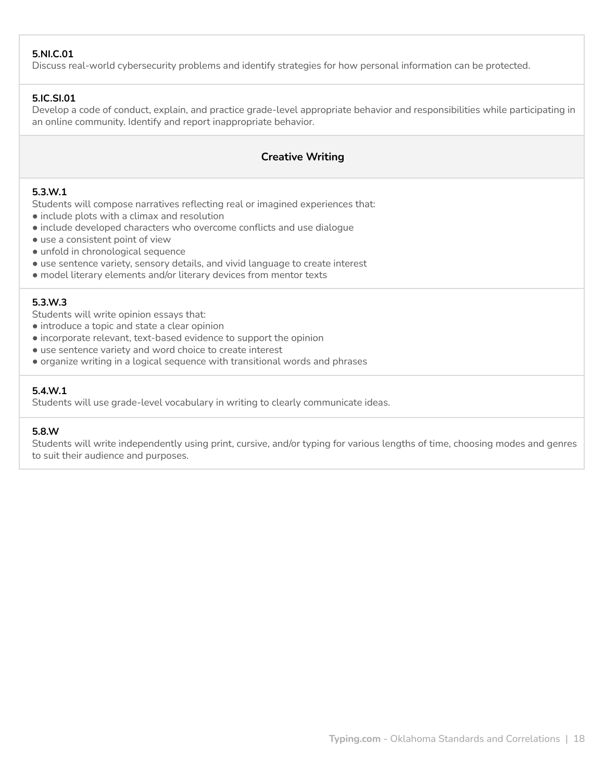### **5.NI.C.01**

Discuss real-world cybersecurity problems and identify strategies for how personal information can be protected.

### **5.IC.SI.01**

Develop a code of conduct, explain, and practice grade-level appropriate behavior and responsibilities while participating in an online community. Identify and report inappropriate behavior.

### **Creative Writing**

### **5.3.W.1**

Students will compose narratives reflecting real or imagined experiences that:

- include plots with a climax and resolution
- include developed characters who overcome conflicts and use dialogue
- use a consistent point of view
- unfold in chronological sequence
- use sentence variety, sensory details, and vivid language to create interest
- model literary elements and/or literary devices from mentor texts

#### **5.3.W.3**

Students will write opinion essays that:

- introduce a topic and state a clear opinion
- incorporate relevant, text-based evidence to support the opinion
- use sentence variety and word choice to create interest
- organize writing in a logical sequence with transitional words and phrases

### **5.4.W.1**

Students will use grade-level vocabulary in writing to clearly communicate ideas.

#### **5.8.W**

Students will write independently using print, cursive, and/or typing for various lengths of time, choosing modes and genres to suit their audience and purposes.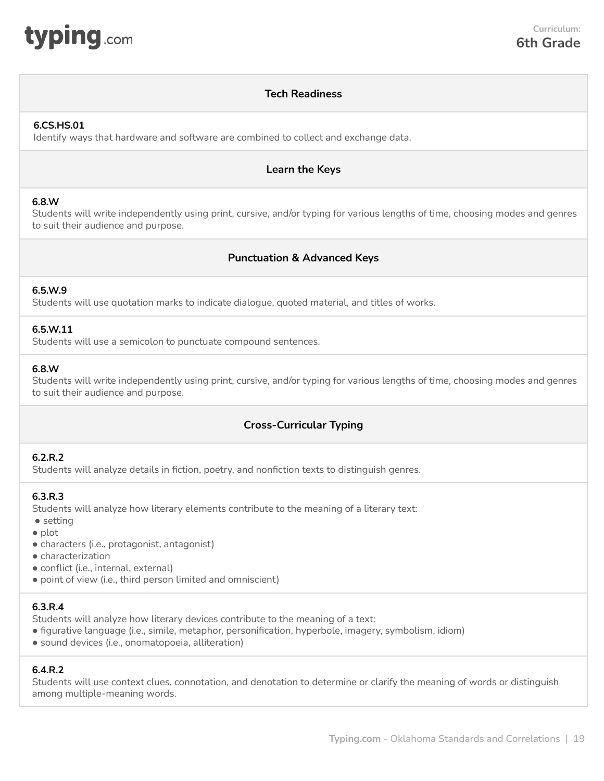<span id="page-18-0"></span>

# **Tech Readiness**

### **6.CS.HS.01**

Identify ways that hardware and software are combined to collect and exchange data.

# **Learn the Keys**

### **6.8.W**

Students will write independently using print, cursive, and/or typing for various lengths of time, choosing modes and genres to suit their audience and purpose.

# **Punctuation & Advanced Keys**

### **6.5.W.9**

Students will use quotation marks to indicate dialogue, quoted material, and titles of works.

### **6.5.W.11**

Students will use a semicolon to punctuate compound sentences.

#### **6.8.W**

Students will write independently using print, cursive, and/or typing for various lengths of time, choosing modes and genres to suit their audience and purpose.

# **Cross-Curricular Typing**

### **6.2.R.2**

Students will analyze details in fiction, poetry, and nonfiction texts to distinguish genres.

#### **6.3.R.3**

Students will analyze how literary elements contribute to the meaning of a literary text:

● setting

- plot
- characters (i.e., protagonist, antagonist)
- characterization
- conflict (i.e., internal, external)
- point of view (i.e., third person limited and omniscient)

#### **6.3.R.4**

Students will analyze how literary devices contribute to the meaning of a text:

- figurative language (i.e., simile, metaphor, personification, hyperbole, imagery, symbolism, idiom)
- sound devices (i.e., onomatopoeia, alliteration)

### **6.4.R.2**

Students will use context clues, connotation, and denotation to determine or clarify the meaning of words or distinguish among multiple-meaning words.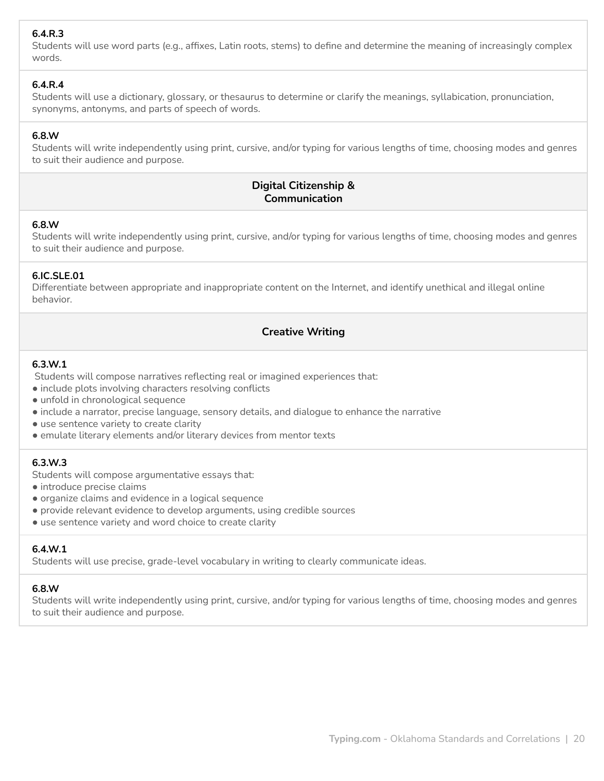# **6.4.R.3**

Students will use word parts (e.g., affixes, Latin roots, stems) to define and determine the meaning of increasingly complex words.

### **6.4.R.4**

Students will use a dictionary, glossary, or thesaurus to determine or clarify the meanings, syllabication, pronunciation, synonyms, antonyms, and parts of speech of words.

# **6.8.W**

Students will write independently using print, cursive, and/or typing for various lengths of time, choosing modes and genres to suit their audience and purpose.

# **Digital Citizenship & Communication**

### **6.8.W**

Students will write independently using print, cursive, and/or typing for various lengths of time, choosing modes and genres to suit their audience and purpose.

# **6.IC.SLE.01**

Differentiate between appropriate and inappropriate content on the Internet, and identify unethical and illegal online behavior.

# **Creative Writing**

### **6.3.W.1**

Students will compose narratives reflecting real or imagined experiences that:

- include plots involving characters resolving conflicts
- unfold in chronological sequence
- include a narrator, precise language, sensory details, and dialogue to enhance the narrative
- use sentence variety to create clarity
- emulate literary elements and/or literary devices from mentor texts

### **6.3.W.3**

Students will compose argumentative essays that:

- introduce precise claims
- organize claims and evidence in a logical sequence
- provide relevant evidence to develop arguments, using credible sources
- use sentence variety and word choice to create clarity

# **6.4.W.1**

Students will use precise, grade-level vocabulary in writing to clearly communicate ideas.

### **6.8.W**

Students will write independently using print, cursive, and/or typing for various lengths of time, choosing modes and genres to suit their audience and purpose.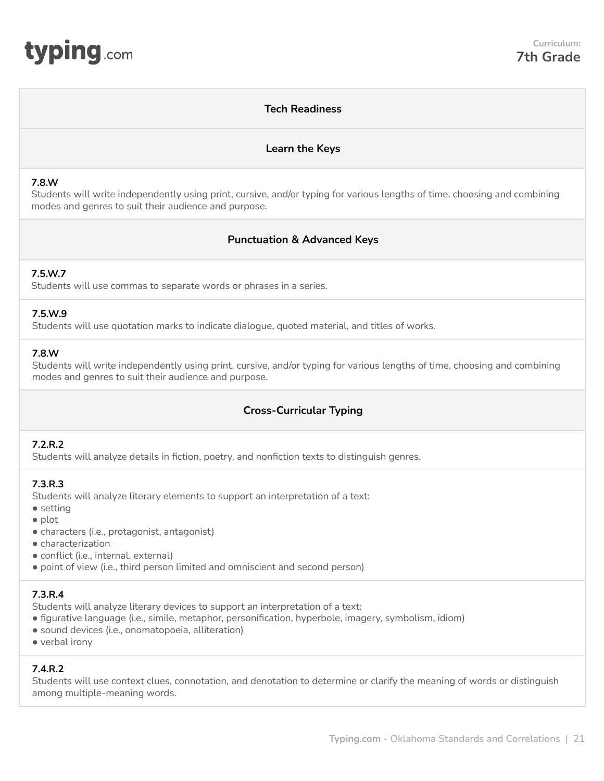# **Tech Readiness**

### **Learn the Keys**

#### <span id="page-20-0"></span>**7.8.W**

Students will write independently using print, cursive, and/or typing for various lengths of time, choosing and combining modes and genres to suit their audience and purpose.

# **Punctuation & Advanced Keys**

### **7.5.W.7**

Students will use commas to separate words or phrases in a series.

### **7.5.W.9**

Students will use quotation marks to indicate dialogue, quoted material, and titles of works.

#### **7.8.W**

Students will write independently using print, cursive, and/or typing for various lengths of time, choosing and combining modes and genres to suit their audience and purpose.

# **Cross-Curricular Typing**

### **7.2.R.2**

Students will analyze details in fiction, poetry, and nonfiction texts to distinguish genres.

### **7.3.R.3**

Students will analyze literary elements to support an interpretation of a text:

- setting
- plot
- characters (i.e., protagonist, antagonist)
- characterization
- conflict (i.e., internal, external)
- point of view (i.e., third person limited and omniscient and second person)

### **7.3.R.4**

Students will analyze literary devices to support an interpretation of a text:

- figurative language (i.e., simile, metaphor, personification, hyperbole, imagery, symbolism, idiom)
- sound devices (i.e., onomatopoeia, alliteration)
- verbal irony

### **7.4.R.2**

Students will use context clues, connotation, and denotation to determine or clarify the meaning of words or distinguish among multiple-meaning words.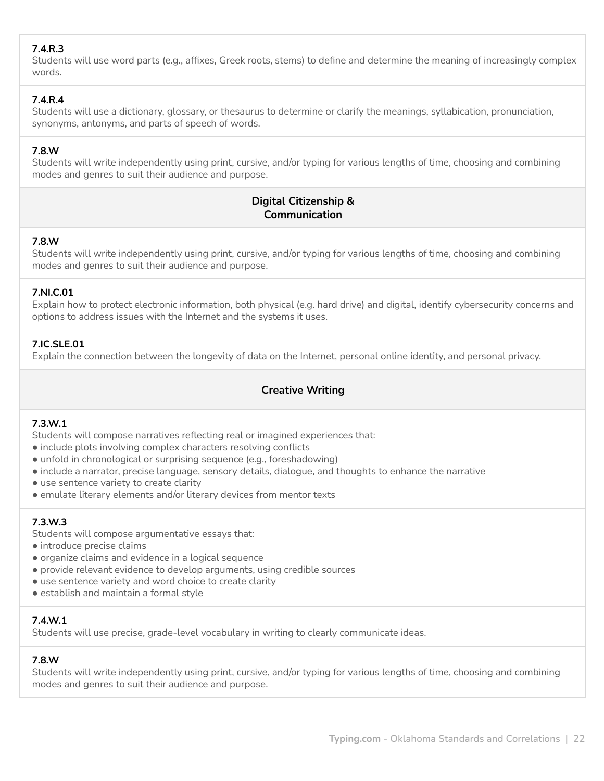# **7.4.R.3**

Students will use word parts (e.g., affixes, Greek roots, stems) to define and determine the meaning of increasingly complex words.

# **7.4.R.4**

Students will use a dictionary, glossary, or thesaurus to determine or clarify the meanings, syllabication, pronunciation, synonyms, antonyms, and parts of speech of words.

### **7.8.W**

Students will write independently using print, cursive, and/or typing for various lengths of time, choosing and combining modes and genres to suit their audience and purpose.

# **Digital Citizenship & Communication**

### **7.8.W**

Students will write independently using print, cursive, and/or typing for various lengths of time, choosing and combining modes and genres to suit their audience and purpose.

### **7.NI.C.01**

Explain how to protect electronic information, both physical (e.g. hard drive) and digital, identify cybersecurity concerns and options to address issues with the Internet and the systems it uses.

### **7.IC.SLE.01**

Explain the connection between the longevity of data on the Internet, personal online identity, and personal privacy.

# **Creative Writing**

# **7.3.W.1**

Students will compose narratives reflecting real or imagined experiences that:

- include plots involving complex characters resolving conflicts
- unfold in chronological or surprising sequence (e.g., foreshadowing)
- include a narrator, precise language, sensory details, dialogue, and thoughts to enhance the narrative
- use sentence variety to create clarity
- emulate literary elements and/or literary devices from mentor texts

# **7.3.W.3**

Students will compose argumentative essays that:

- introduce precise claims
- organize claims and evidence in a logical sequence
- provide relevant evidence to develop arguments, using credible sources
- use sentence variety and word choice to create clarity
- establish and maintain a formal style

### **7.4.W.1**

Students will use precise, grade-level vocabulary in writing to clearly communicate ideas.

### **7.8.W**

Students will write independently using print, cursive, and/or typing for various lengths of time, choosing and combining modes and genres to suit their audience and purpose.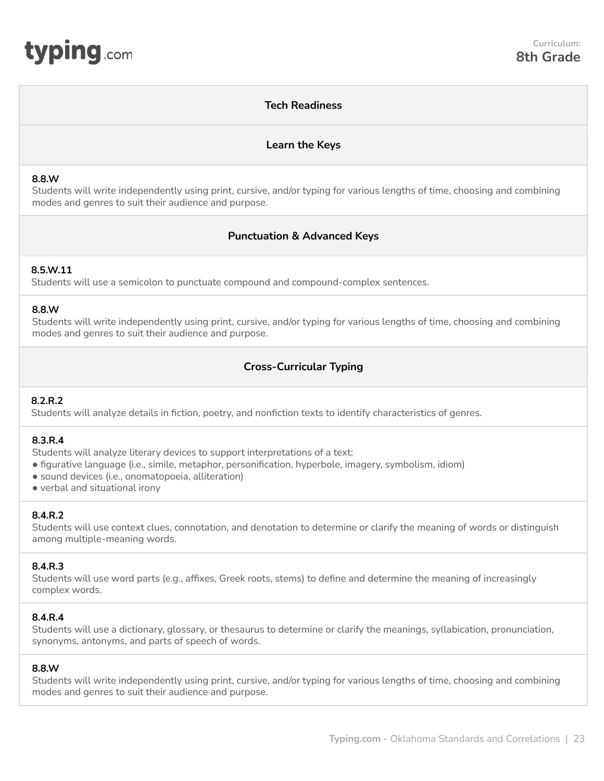### **Tech Readiness**

### **Learn the Keys**

#### <span id="page-22-0"></span>**8.8.W**

Students will write independently using print, cursive, and/or typing for various lengths of time, choosing and combining modes and genres to suit their audience and purpose.

# **Punctuation & Advanced Keys**

#### **8.5.W.11**

Students will use a semicolon to punctuate compound and compound-complex sentences.

#### **8.8.W**

Students will write independently using print, cursive, and/or typing for various lengths of time, choosing and combining modes and genres to suit their audience and purpose.

# **Cross-Curricular Typing**

### **8.2.R.2**

Students will analyze details in fiction, poetry, and nonfiction texts to identify characteristics of genres.

### **8.3.R.4**

Students will analyze literary devices to support interpretations of a text:

- figurative language (i.e., simile, metaphor, personification, hyperbole, imagery, symbolism, idiom)
- sound devices (i.e., onomatopoeia, alliteration)
- verbal and situational irony

### **8.4.R.2**

Students will use context clues, connotation, and denotation to determine or clarify the meaning of words or distinguish among multiple-meaning words.

### **8.4.R.3**

Students will use word parts (e.g., affixes, Greek roots, stems) to define and determine the meaning of increasingly complex words.

### **8.4.R.4**

Students will use a dictionary, glossary, or thesaurus to determine or clarify the meanings, syllabication, pronunciation, synonyms, antonyms, and parts of speech of words.

### **8.8.W**

Students will write independently using print, cursive, and/or typing for various lengths of time, choosing and combining modes and genres to suit their audience and purpose.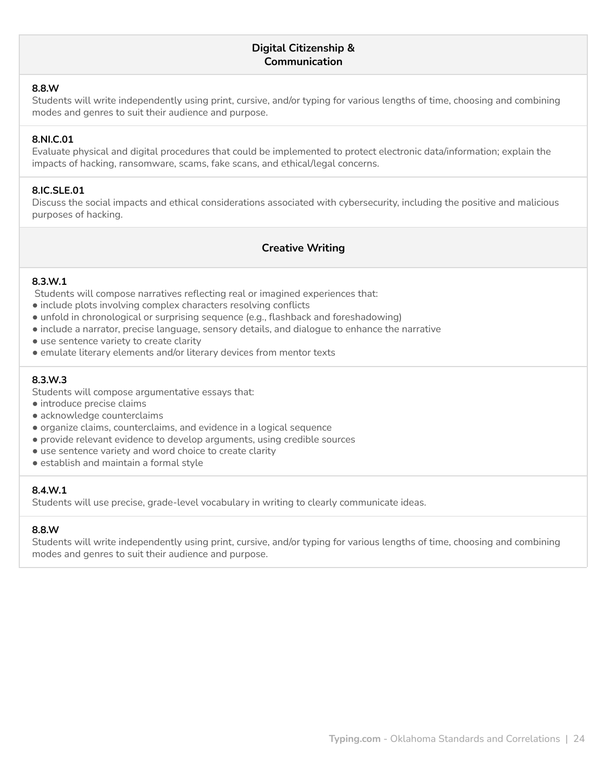### **Digital Citizenship & Communication**

#### **8.8.W**

Students will write independently using print, cursive, and/or typing for various lengths of time, choosing and combining modes and genres to suit their audience and purpose.

#### **8.NI.C.01**

Evaluate physical and digital procedures that could be implemented to protect electronic data/information; explain the impacts of hacking, ransomware, scams, fake scans, and ethical/legal concerns.

#### **8.IC.SLE.01**

Discuss the social impacts and ethical considerations associated with cybersecurity, including the positive and malicious purposes of hacking.

### **Creative Writing**

#### **8.3.W.1**

Students will compose narratives reflecting real or imagined experiences that:

- include plots involving complex characters resolving conflicts
- unfold in chronological or surprising sequence (e.g., flashback and foreshadowing)
- include a narrator, precise language, sensory details, and dialogue to enhance the narrative
- use sentence variety to create clarity
- emulate literary elements and/or literary devices from mentor texts

### **8.3.W.3**

Students will compose argumentative essays that:

- introduce precise claims
- acknowledge counterclaims
- organize claims, counterclaims, and evidence in a logical sequence
- provide relevant evidence to develop arguments, using credible sources
- use sentence variety and word choice to create clarity
- establish and maintain a formal style

#### **8.4.W.1**

Students will use precise, grade-level vocabulary in writing to clearly communicate ideas.

#### **8.8.W**

Students will write independently using print, cursive, and/or typing for various lengths of time, choosing and combining modes and genres to suit their audience and purpose.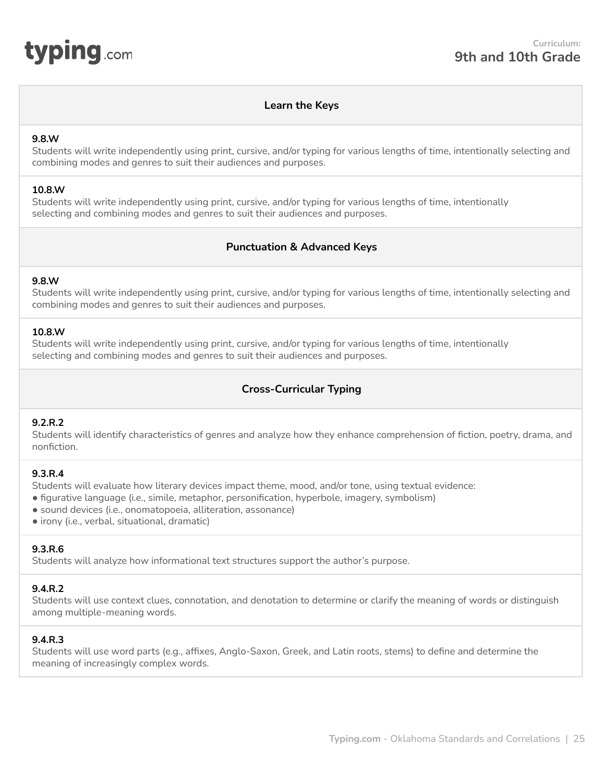<span id="page-24-0"></span>

### **Learn the Keys**

#### **9.8.W**

Students will write independently using print, cursive, and/or typing for various lengths of time, intentionally selecting and combining modes and genres to suit their audiences and purposes.

#### **10.8.W**

Students will write independently using print, cursive, and/or typing for various lengths of time, intentionally selecting and combining modes and genres to suit their audiences and purposes.

# **Punctuation & Advanced Keys**

#### **9.8.W**

Students will write independently using print, cursive, and/or typing for various lengths of time, intentionally selecting and combining modes and genres to suit their audiences and purposes.

#### **10.8.W**

Students will write independently using print, cursive, and/or typing for various lengths of time, intentionally selecting and combining modes and genres to suit their audiences and purposes.

# **Cross-Curricular Typing**

### **9.2.R.2**

Students will identify characteristics of genres and analyze how they enhance comprehension of fiction, poetry, drama, and nonfiction.

#### **9.3.R.4**

Students will evaluate how literary devices impact theme, mood, and/or tone, using textual evidence:

- figurative language (i.e., simile, metaphor, personification, hyperbole, imagery, symbolism)
- sound devices (i.e., onomatopoeia, alliteration, assonance)
- irony (i.e., verbal, situational, dramatic)

### **9.3.R.6**

Students will analyze how informational text structures support the author's purpose.

#### **9.4.R.2**

Students will use context clues, connotation, and denotation to determine or clarify the meaning of words or distinguish among multiple-meaning words.

### **9.4.R.3**

Students will use word parts (e.g., affixes, Anglo-Saxon, Greek, and Latin roots, stems) to define and determine the meaning of increasingly complex words.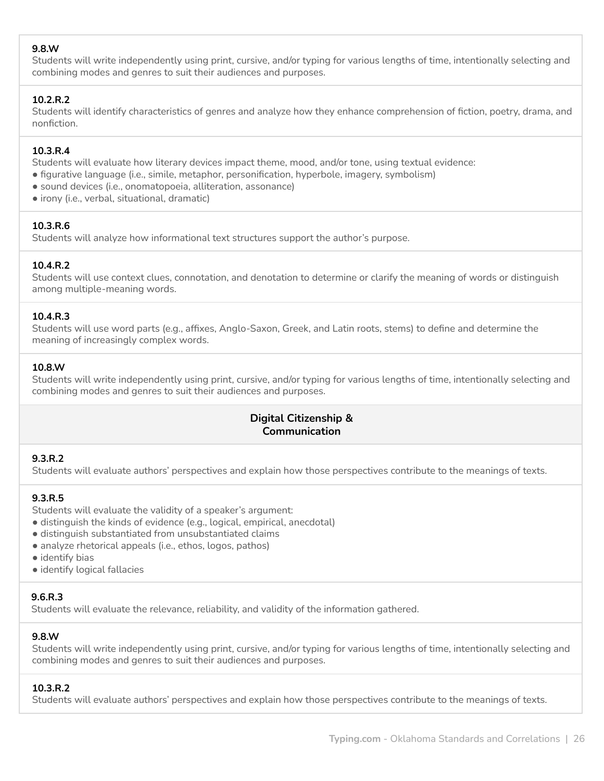### **9.8.W**

Students will write independently using print, cursive, and/or typing for various lengths of time, intentionally selecting and combining modes and genres to suit their audiences and purposes.

### **10.2.R.2**

Students will identify characteristics of genres and analyze how they enhance comprehension of fiction, poetry, drama, and nonfiction.

### **10.3.R.4**

Students will evaluate how literary devices impact theme, mood, and/or tone, using textual evidence:

- figurative language (i.e., simile, metaphor, personification, hyperbole, imagery, symbolism)
- sound devices (i.e., onomatopoeia, alliteration, assonance)
- irony (i.e., verbal, situational, dramatic)

#### **10.3.R.6**

Students will analyze how informational text structures support the author's purpose.

### **10.4.R.2**

Students will use context clues, connotation, and denotation to determine or clarify the meaning of words or distinguish among multiple-meaning words.

#### **10.4.R.3**

Students will use word parts (e.g., affixes, Anglo-Saxon, Greek, and Latin roots, stems) to define and determine the meaning of increasingly complex words.

#### **10.8.W**

Students will write independently using print, cursive, and/or typing for various lengths of time, intentionally selecting and combining modes and genres to suit their audiences and purposes.

# **Digital Citizenship & Communication**

### **9.3.R.2**

Students will evaluate authors' perspectives and explain how those perspectives contribute to the meanings of texts.

### **9.3.R.5**

Students will evaluate the validity of a speaker's argument:

- distinguish the kinds of evidence (e.g., logical, empirical, anecdotal)
- distinguish substantiated from unsubstantiated claims
- analyze rhetorical appeals (i.e., ethos, logos, pathos)
- identify bias
- identify logical fallacies

### **9.6.R.3**

Students will evaluate the relevance, reliability, and validity of the information gathered.

#### **9.8.W**

Students will write independently using print, cursive, and/or typing for various lengths of time, intentionally selecting and combining modes and genres to suit their audiences and purposes.

#### **10.3.R.2**

Students will evaluate authors' perspectives and explain how those perspectives contribute to the meanings of texts.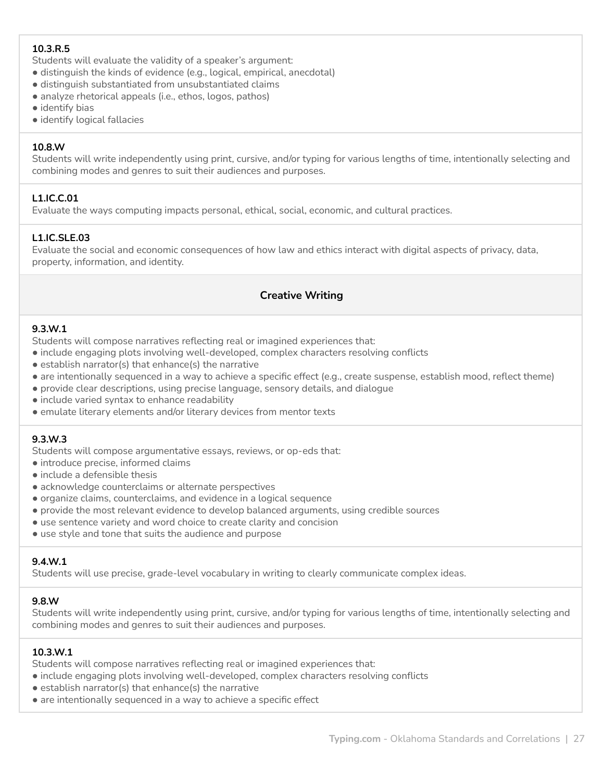# **10.3.R.5**

Students will evaluate the validity of a speaker's argument:

- distinguish the kinds of evidence (e.g., logical, empirical, anecdotal)
- distinguish substantiated from unsubstantiated claims
- analyze rhetorical appeals (i.e., ethos, logos, pathos)
- identify bias
- identify logical fallacies

### **10.8.W**

Students will write independently using print, cursive, and/or typing for various lengths of time, intentionally selecting and combining modes and genres to suit their audiences and purposes.

# **L1.IC.C.01**

Evaluate the ways computing impacts personal, ethical, social, economic, and cultural practices.

# **L1.IC.SLE.03**

Evaluate the social and economic consequences of how law and ethics interact with digital aspects of privacy, data, property, information, and identity.

# **Creative Writing**

### **9.3.W.1**

Students will compose narratives reflecting real or imagined experiences that:

- include engaging plots involving well-developed, complex characters resolving conflicts
- establish narrator(s) that enhance(s) the narrative
- are intentionally sequenced in a way to achieve a specific effect (e.g., create suspense, establish mood, reflect theme)
- provide clear descriptions, using precise language, sensory details, and dialogue
- include varied syntax to enhance readability
- emulate literary elements and/or literary devices from mentor texts

# **9.3.W.3**

Students will compose argumentative essays, reviews, or op-eds that:

- introduce precise, informed claims
- include a defensible thesis
- acknowledge counterclaims or alternate perspectives
- organize claims, counterclaims, and evidence in a logical sequence
- provide the most relevant evidence to develop balanced arguments, using credible sources
- use sentence variety and word choice to create clarity and concision
- use style and tone that suits the audience and purpose

# **9.4.W.1**

Students will use precise, grade-level vocabulary in writing to clearly communicate complex ideas.

### **9.8.W**

Students will write independently using print, cursive, and/or typing for various lengths of time, intentionally selecting and combining modes and genres to suit their audiences and purposes.

# **10.3.W.1**

Students will compose narratives reflecting real or imagined experiences that:

- include engaging plots involving well-developed, complex characters resolving conflicts
- establish narrator(s) that enhance(s) the narrative
- are intentionally sequenced in a way to achieve a specific effect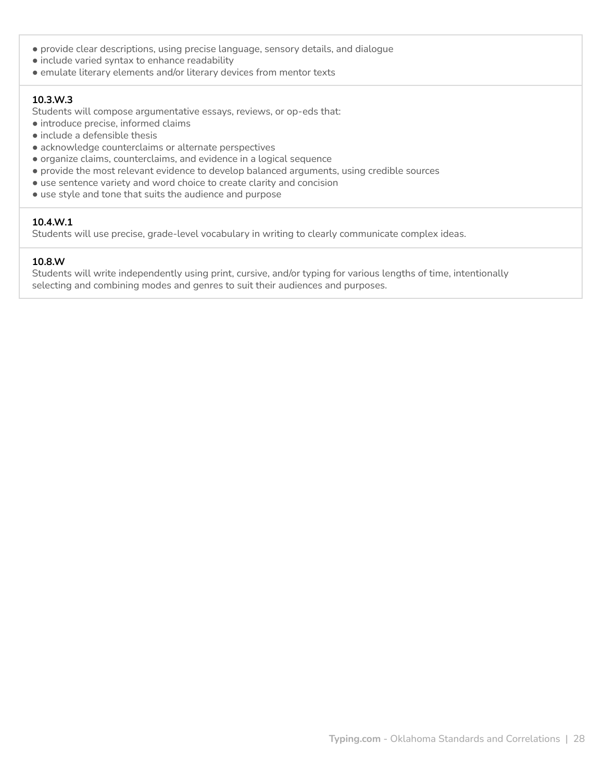- provide clear descriptions, using precise language, sensory details, and dialogue
- include varied syntax to enhance readability
- emulate literary elements and/or literary devices from mentor texts

#### **10.3.W.3**

Students will compose argumentative essays, reviews, or op-eds that:

- introduce precise, informed claims
- include a defensible thesis
- acknowledge counterclaims or alternate perspectives
- organize claims, counterclaims, and evidence in a logical sequence
- provide the most relevant evidence to develop balanced arguments, using credible sources
- use sentence variety and word choice to create clarity and concision
- use style and tone that suits the audience and purpose

### **10.4.W.1**

Students will use precise, grade-level vocabulary in writing to clearly communicate complex ideas.

### **10.8.W**

Students will write independently using print, cursive, and/or typing for various lengths of time, intentionally selecting and combining modes and genres to suit their audiences and purposes.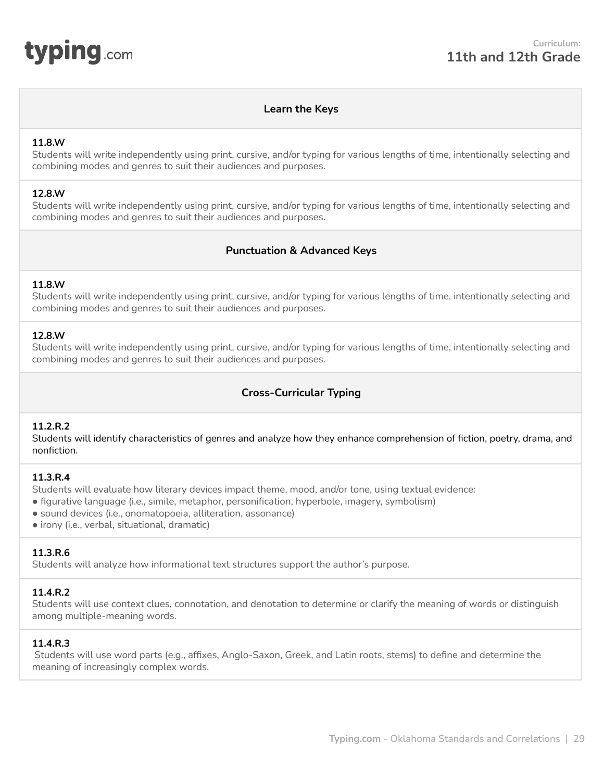<span id="page-28-0"></span>

### **Learn the Keys**

#### **11.8.W**

Students will write independently using print, cursive, and/or typing for various lengths of time, intentionally selecting and combining modes and genres to suit their audiences and purposes.

#### **12.8.W**

Students will write independently using print, cursive, and/or typing for various lengths of time, intentionally selecting and combining modes and genres to suit their audiences and purposes.

### **Punctuation & Advanced Keys**

#### **11.8.W**

Students will write independently using print, cursive, and/or typing for various lengths of time, intentionally selecting and combining modes and genres to suit their audiences and purposes.

#### **12.8.W**

Students will write independently using print, cursive, and/or typing for various lengths of time, intentionally selecting and combining modes and genres to suit their audiences and purposes.

# **Cross-Curricular Typing**

### **11.2.R.2**

Students will identify characteristics of genres and analyze how they enhance comprehension of fiction, poetry, drama, and nonfiction.

#### **11.3.R.4**

Students will evaluate how literary devices impact theme, mood, and/or tone, using textual evidence:

- figurative language (i.e., simile, metaphor, personification, hyperbole, imagery, symbolism)
- sound devices (i.e., onomatopoeia, alliteration, assonance)
- irony (i.e., verbal, situational, dramatic)

### **11.3.R.6**

Students will analyze how informational text structures support the author's purpose.

### **11.4.R.2**

Students will use context clues, connotation, and denotation to determine or clarify the meaning of words or distinguish among multiple-meaning words.

### **11.4.R.3**

Students will use word parts (e.g., affixes, Anglo-Saxon, Greek, and Latin roots, stems) to define and determine the meaning of increasingly complex words.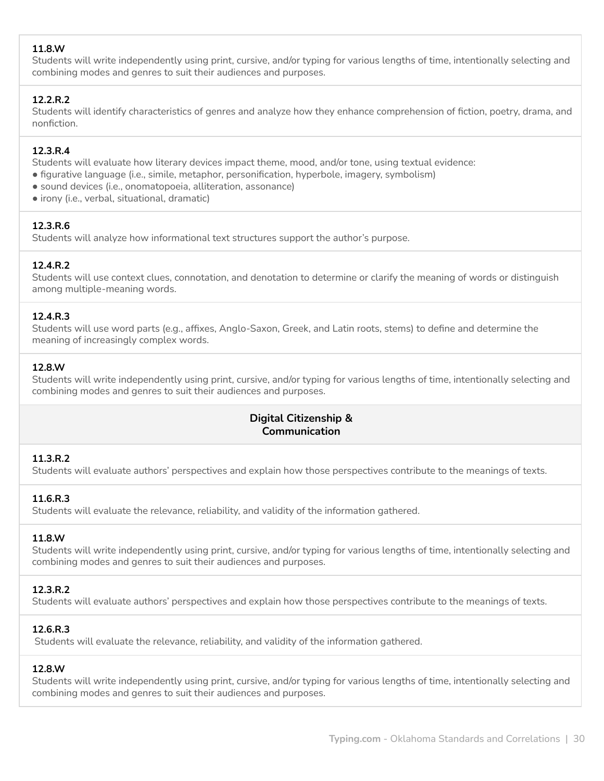# **11.8.W**

Students will write independently using print, cursive, and/or typing for various lengths of time, intentionally selecting and combining modes and genres to suit their audiences and purposes.

### **12.2.R.2**

Students will identify characteristics of genres and analyze how they enhance comprehension of fiction, poetry, drama, and nonfiction.

#### **12.3.R.4**

Students will evaluate how literary devices impact theme, mood, and/or tone, using textual evidence:

- figurative language (i.e., simile, metaphor, personification, hyperbole, imagery, symbolism)
- sound devices (i.e., onomatopoeia, alliteration, assonance)
- irony (i.e., verbal, situational, dramatic)

#### **12.3.R.6**

Students will analyze how informational text structures support the author's purpose.

### **12.4.R.2**

Students will use context clues, connotation, and denotation to determine or clarify the meaning of words or distinguish among multiple-meaning words.

#### **12.4.R.3**

Students will use word parts (e.g., affixes, Anglo-Saxon, Greek, and Latin roots, stems) to define and determine the meaning of increasingly complex words.

#### **12.8.W**

Students will write independently using print, cursive, and/or typing for various lengths of time, intentionally selecting and combining modes and genres to suit their audiences and purposes.

# **Digital Citizenship & Communication**

### **11.3.R.2**

Students will evaluate authors' perspectives and explain how those perspectives contribute to the meanings of texts.

### **11.6.R.3**

Students will evaluate the relevance, reliability, and validity of the information gathered.

#### **11.8.W**

Students will write independently using print, cursive, and/or typing for various lengths of time, intentionally selecting and combining modes and genres to suit their audiences and purposes.

#### **12.3.R.2**

Students will evaluate authors' perspectives and explain how those perspectives contribute to the meanings of texts.

### **12.6.R.3**

Students will evaluate the relevance, reliability, and validity of the information gathered.

#### **12.8.W**

Students will write independently using print, cursive, and/or typing for various lengths of time, intentionally selecting and combining modes and genres to suit their audiences and purposes.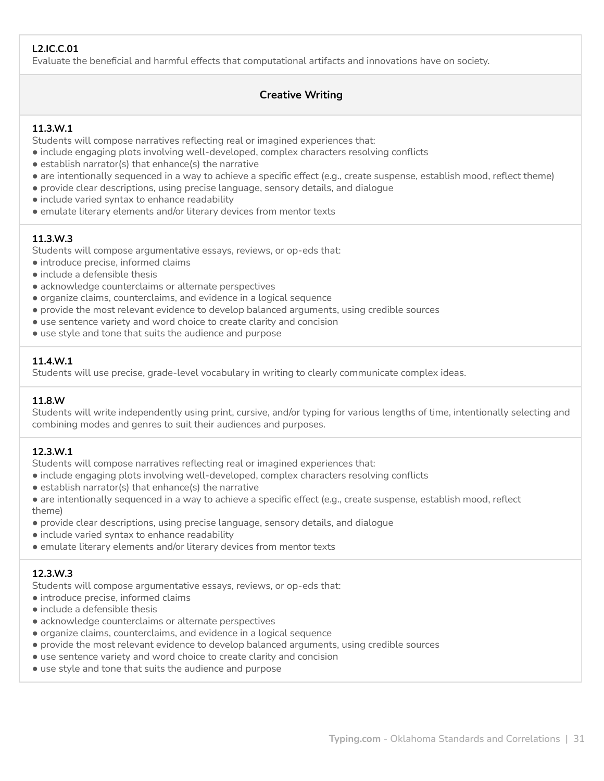# **L2.IC.C.01**

Evaluate the beneficial and harmful effects that computational artifacts and innovations have on society.

# **Creative Writing**

### **11.3.W.1**

Students will compose narratives reflecting real or imagined experiences that:

- include engaging plots involving well-developed, complex characters resolving conflicts
- establish narrator(s) that enhance(s) the narrative
- are intentionally sequenced in a way to achieve a specific effect (e.g., create suspense, establish mood, reflect theme)
- provide clear descriptions, using precise language, sensory details, and dialogue
- include varied syntax to enhance readability
- emulate literary elements and/or literary devices from mentor texts

### **11.3.W.3**

Students will compose argumentative essays, reviews, or op-eds that:

- introduce precise, informed claims
- include a defensible thesis
- acknowledge counterclaims or alternate perspectives
- organize claims, counterclaims, and evidence in a logical sequence
- provide the most relevant evidence to develop balanced arguments, using credible sources
- use sentence variety and word choice to create clarity and concision
- use style and tone that suits the audience and purpose

### **11.4.W.1**

Students will use precise, grade-level vocabulary in writing to clearly communicate complex ideas.

### **11.8.W**

Students will write independently using print, cursive, and/or typing for various lengths of time, intentionally selecting and combining modes and genres to suit their audiences and purposes.

### **12.3.W.1**

Students will compose narratives reflecting real or imagined experiences that:

- include engaging plots involving well-developed, complex characters resolving conflicts
- $\bullet$  establish narrator(s) that enhance(s) the narrative
- are intentionally sequenced in a way to achieve a specific effect (e.g., create suspense, establish mood, reflect theme)
- provide clear descriptions, using precise language, sensory details, and dialogue
- include varied syntax to enhance readability
- emulate literary elements and/or literary devices from mentor texts

### **12.3.W.3**

Students will compose argumentative essays, reviews, or op-eds that:

- introduce precise, informed claims
- $\bullet$  include a defensible thesis
- acknowledge counterclaims or alternate perspectives
- organize claims, counterclaims, and evidence in a logical sequence
- provide the most relevant evidence to develop balanced arguments, using credible sources
- use sentence variety and word choice to create clarity and concision
- use style and tone that suits the audience and purpose